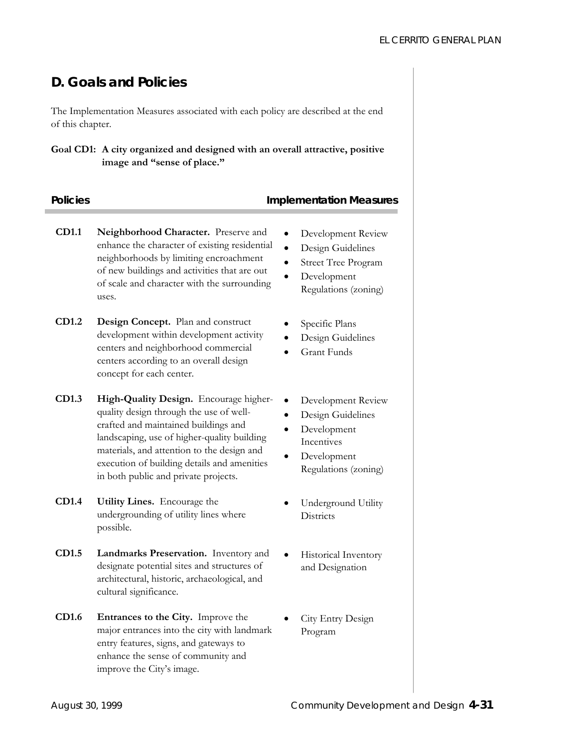# **D. Goals and Policies**

The Implementation Measures associated with each policy are described at the end of this chapter.

### **Goal CD1: A city organized and designed with an overall attractive, positive image and "sense of place."**

### **Policies 2018 Implementation Measures**

- **CD1.1 Neighborhood Character.** Preserve and enhance the character of existing residential neighborhoods by limiting encroachment of new buildings and activities that are out of scale and character with the surrounding uses.
- **CD1.2 Design Concept.** Plan and construct development within development activity centers and neighborhood commercial centers according to an overall design concept for each center.
- **CD1.3 High-Quality Design.** Encourage higherquality design through the use of wellcrafted and maintained buildings and landscaping, use of higher-quality building materials, and attention to the design and execution of building details and amenities in both public and private projects.
- **CD1.4 Utility Lines.** Encourage the undergrounding of utility lines where possible.
- **CD1.5 Landmarks Preservation.** Inventory and designate potential sites and structures of architectural, historic, archaeological, and cultural significance.
- **CD1.6 Entrances to the City.** Improve the major entrances into the city with landmark entry features, signs, and gateways to enhance the sense of community and improve the City's image.
- Development Review
- Design Guidelines
- Street Tree Program
- Development Regulations (zoning)
- Specific Plans
- Design Guidelines
- Grant Funds
- Development Review
- Design Guidelines
- Development Incentives
- Development Regulations (zoning)
- Underground Utility **Districts**
- Historical Inventory and Designation
- City Entry Design Program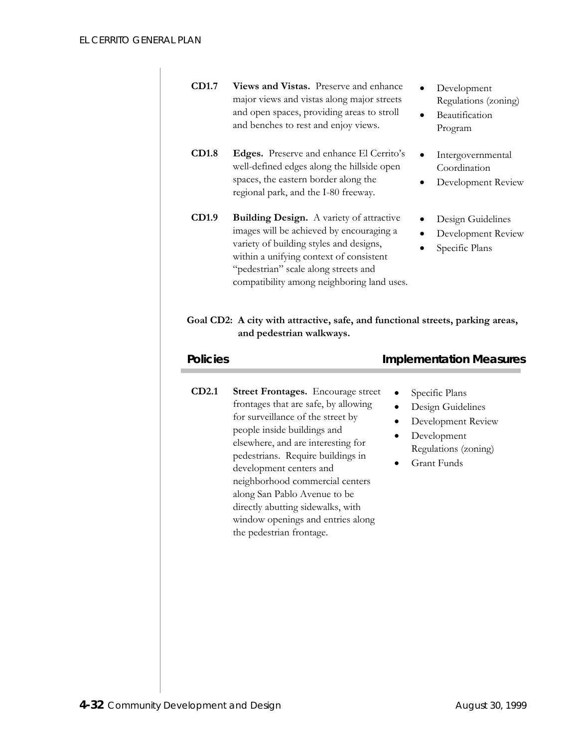| CD1.7           | Views and Vistas. Preserve and enhance<br>major views and vistas along major streets<br>and open spaces, providing areas to stroll<br>and benches to rest and enjoy views.                                                                                                                                                                                                                                                           | Development<br>Beautification<br>Program                | Regulations (zoning)                                                                                                   |                    |  |
|-----------------|--------------------------------------------------------------------------------------------------------------------------------------------------------------------------------------------------------------------------------------------------------------------------------------------------------------------------------------------------------------------------------------------------------------------------------------|---------------------------------------------------------|------------------------------------------------------------------------------------------------------------------------|--------------------|--|
| <b>CD1.8</b>    | Edges. Preserve and enhance El Cerrito's<br>well-defined edges along the hillside open<br>spaces, the eastern border along the<br>regional park, and the I-80 freeway.                                                                                                                                                                                                                                                               | Intergovernmental<br>Coordination<br>Development Review |                                                                                                                        |                    |  |
| CD1.9           | <b>Building Design.</b> A variety of attractive<br>images will be achieved by encouraging a<br>variety of building styles and designs,<br>within a unifying context of consistent<br>"pedestrian" scale along streets and<br>compatibility among neighboring land uses.                                                                                                                                                              |                                                         | Design Guidelines<br>Specific Plans                                                                                    | Development Review |  |
|                 | Goal CD2: A city with attractive, safe, and functional streets, parking areas,<br>and pedestrian walkways.                                                                                                                                                                                                                                                                                                                           |                                                         |                                                                                                                        |                    |  |
|                 |                                                                                                                                                                                                                                                                                                                                                                                                                                      |                                                         |                                                                                                                        |                    |  |
| <b>Policies</b> |                                                                                                                                                                                                                                                                                                                                                                                                                                      |                                                         | <b>Implementation Measures</b>                                                                                         |                    |  |
| CD2.1           | <b>Street Frontages.</b> Encourage street<br>frontages that are safe, by allowing<br>for surveillance of the street by<br>people inside buildings and<br>elsewhere, and are interesting for<br>pedestrians. Require buildings in<br>development centers and<br>neighborhood commercial centers<br>along San Pablo Avenue to be<br>directly abutting sidewalks, with<br>window openings and entries along<br>the pedestrian frontage. |                                                         | Specific Plans<br>Design Guidelines<br>Development Review<br>Development<br>Regulations (zoning)<br><b>Grant Funds</b> |                    |  |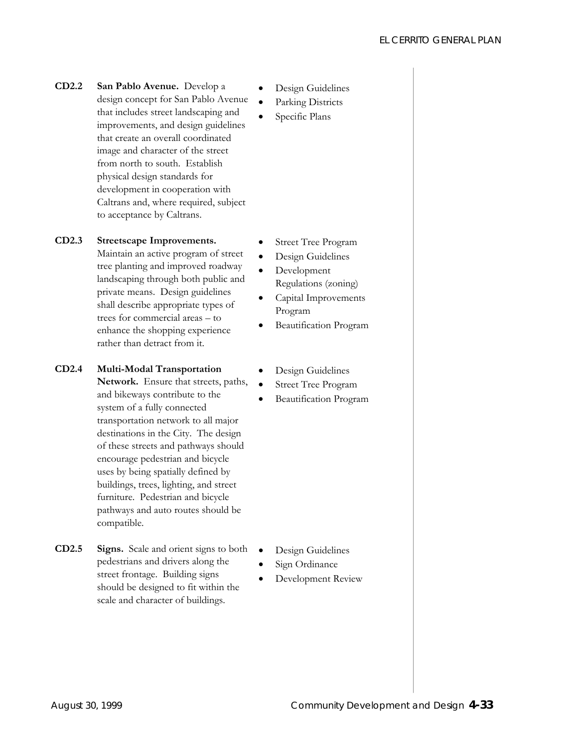**CD2.2 San Pablo Avenue.** Develop a design concept for San Pablo Avenue that includes street landscaping and improvements, and design guidelines that create an overall coordinated image and character of the street from north to south. Establish physical design standards for development in cooperation with Caltrans and, where required, subject to acceptance by Caltrans.

### **CD2.3 Streetscape Improvements.**

Maintain an active program of street tree planting and improved roadway landscaping through both public and private means. Design guidelines shall describe appropriate types of trees for commercial areas – to enhance the shopping experience rather than detract from it.

- **CD2.4 Multi-Modal Transportation**
	- **Network.** Ensure that streets, paths, and bikeways contribute to the system of a fully connected transportation network to all major destinations in the City. The design of these streets and pathways should encourage pedestrian and bicycle uses by being spatially defined by buildings, trees, lighting, and street furniture. Pedestrian and bicycle pathways and auto routes should be compatible.
- **CD2.5 Signs.** Scale and orient signs to both pedestrians and drivers along the street frontage. Building signs should be designed to fit within the scale and character of buildings.
- Design Guidelines
- Parking Districts
- Specific Plans

- Street Tree Program
- Design Guidelines
- Development Regulations (zoning)
- Capital Improvements Program
- Beautification Program
- Design Guidelines
- Street Tree Program
- Beautification Program

- Design Guidelines
- Sign Ordinance
- Development Review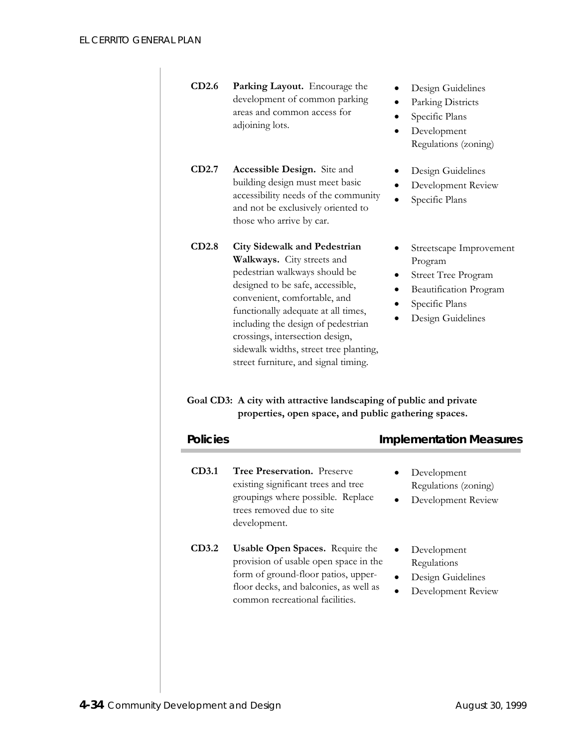| <b>CD2.6</b> Parking Layout. Encourage the |
|--------------------------------------------|
| development of common parking              |
| areas and common access for                |
| adjoining lots.                            |

- **CD2.7 Accessible Design.** Site and building design must meet basic accessibility needs of the community and not be exclusively oriented to those who arrive by car.
- **CD2.8 City Sidewalk and Pedestrian Walkways.** City streets and pedestrian walkways should be designed to be safe, accessible, convenient, comfortable, and functionally adequate at all times, including the design of pedestrian crossings, intersection design, sidewalk widths, street tree planting, street furniture, and signal timing.
- Design Guidelines
- Parking Districts
- Specific Plans
- Development Regulations (zoning)
- Design Guidelines
- Development Review
- Specific Plans
- Streetscape Improvement Program
- Street Tree Program
- Beautification Program
- Specific Plans
- Design Guidelines

# **Goal CD3: A city with attractive landscaping of public and private properties, open space, and public gathering spaces.**

| <b>Policies</b> |                                                                                                                                                                                                     | <b>Implementation Measures</b>                                        |
|-----------------|-----------------------------------------------------------------------------------------------------------------------------------------------------------------------------------------------------|-----------------------------------------------------------------------|
| CD3.1           | <b>Tree Preservation.</b> Preserve<br>existing significant trees and tree<br>groupings where possible. Replace<br>trees removed due to site<br>development.                                         | Development<br>Regulations (zoning)<br>Development Review             |
| CD3.2           | <b>Usable Open Spaces.</b> Require the<br>provision of usable open space in the<br>form of ground-floor patios, upper-<br>floor decks, and balconies, as well as<br>common recreational facilities. | Development<br>Regulations<br>Design Guidelines<br>Development Review |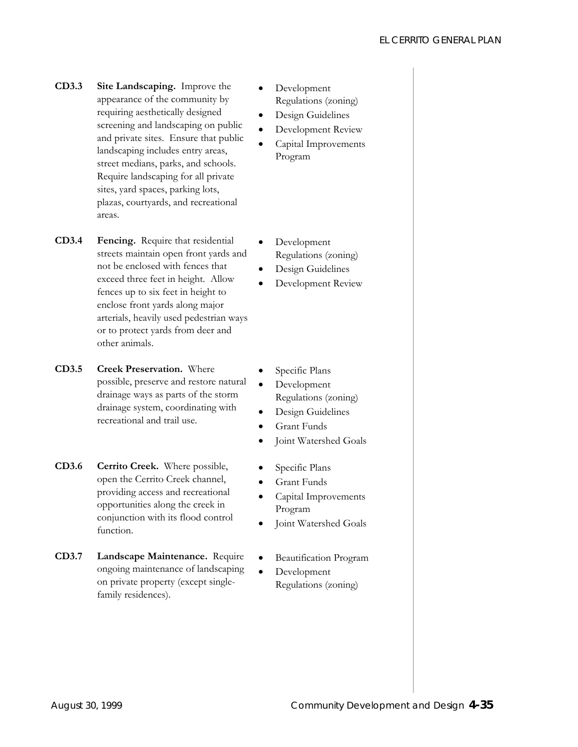- **CD3.3 Site Landscaping.** Improve the appearance of the community by requiring aesthetically designed screening and landscaping on public and private sites. Ensure that public landscaping includes entry areas, street medians, parks, and schools. Require landscaping for all private sites, yard spaces, parking lots, plazas, courtyards, and recreational areas.
- **CD3.4 Fencing.** Require that residential streets maintain open front yards and not be enclosed with fences that exceed three feet in height. Allow fences up to six feet in height to enclose front yards along major arterials, heavily used pedestrian ways or to protect yards from deer and other animals.
- **CD3.5 Creek Preservation.** Where possible, preserve and restore natural drainage ways as parts of the storm drainage system, coordinating with recreational and trail use.
- **CD3.6 Cerrito Creek.** Where possible, open the Cerrito Creek channel, providing access and recreational opportunities along the creek in conjunction with its flood control function.
- **CD3.7 Landscape Maintenance.** Require ongoing maintenance of landscaping on private property (except singlefamily residences).
- Development Regulations (zoning)
- Design Guidelines
- Development Review
- Capital Improvements Program
- Development Regulations (zoning)
- Design Guidelines
- Development Review
- Specific Plans
- Development Regulations (zoning)
- Design Guidelines
- Grant Funds
- Joint Watershed Goals
- Specific Plans
- Grant Funds
- Capital Improvements Program
- Joint Watershed Goals
- Beautification Program
- Development Regulations (zoning)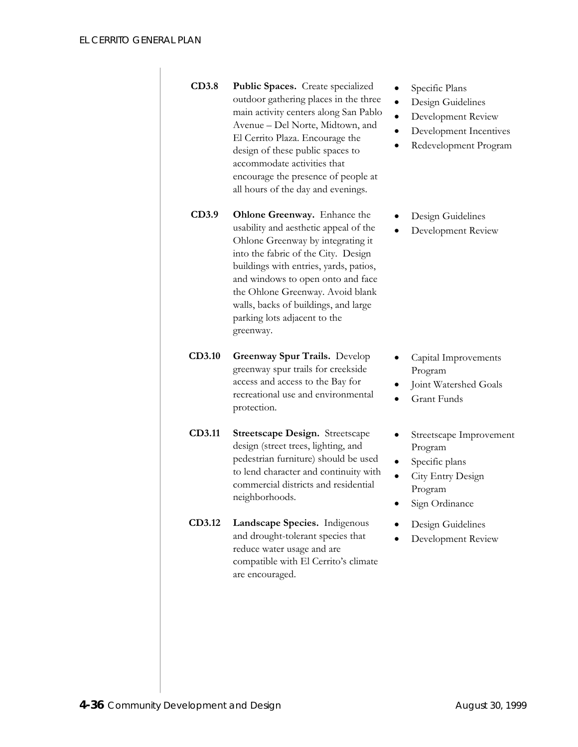| <b>CD3.8</b> | Public Spaces. Create specialized     |
|--------------|---------------------------------------|
|              | outdoor gathering places in the three |
|              | main activity centers along San Pablo |
|              | Avenue – Del Norte, Midtown, and      |
|              | El Cerrito Plaza. Encourage the       |
|              | design of these public spaces to      |
|              | accommodate activities that           |
|              | encourage the presence of people at   |
|              | all hours of the day and evenings.    |
|              |                                       |

- **CD3.9 Ohlone Greenway.** Enhance the usability and aesthetic appeal of the Ohlone Greenway by integrating it into the fabric of the City. Design buildings with entries, yards, patios, and windows to open onto and face the Ohlone Greenway. Avoid blank walls, backs of buildings, and large parking lots adjacent to the greenway.
- **CD3.10 Greenway Spur Trails.** Develop greenway spur trails for creekside access and access to the Bay for recreational use and environmental protection.
- **CD3.11 Streetscape Design.** Streetscape design (street trees, lighting, and pedestrian furniture) should be used to lend character and continuity with commercial districts and residential neighborhoods.
- **CD3.12 Landscape Species.** Indigenous and drought-tolerant species that reduce water usage and are compatible with El Cerrito's climate are encouraged.
- Specific Plans
- Design Guidelines
- Development Review
- Development Incentives
- Redevelopment Program
- Design Guidelines
- Development Review

- Capital Improvements Program
- Joint Watershed Goals
- Grant Funds
- Streetscape Improvement Program
- Specific plans
- City Entry Design Program
- Sign Ordinance
- Design Guidelines
- Development Review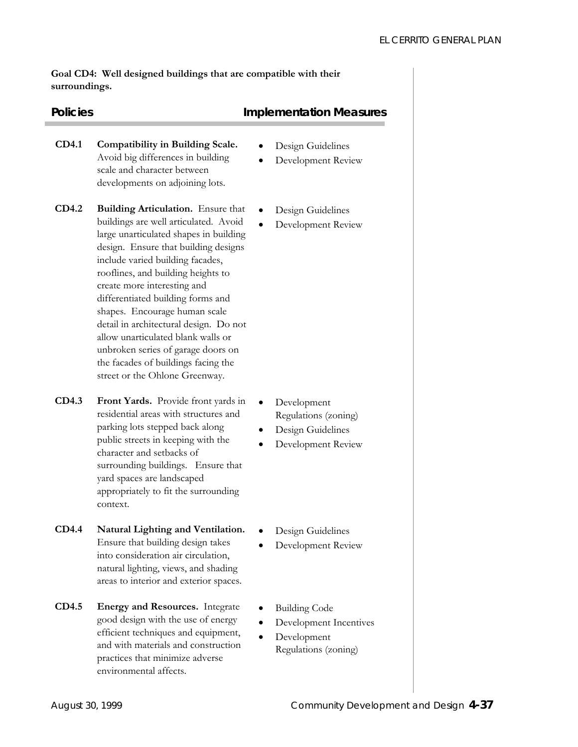**Goal CD4: Well designed buildings that are compatible with their surroundings.** 

## **Policies Policies Implementation Measures**

- **CD4.1 Compatibility in Building Scale.**  Avoid big differences in building scale and character between developments on adjoining lots.
- **CD4.2 Building Articulation.** Ensure that buildings are well articulated. Avoid large unarticulated shapes in building design. Ensure that building designs include varied building facades, rooflines, and building heights to create more interesting and differentiated building forms and shapes. Encourage human scale detail in architectural design. Do not allow unarticulated blank walls or unbroken series of garage doors on the facades of buildings facing the street or the Ohlone Greenway.
- **CD4.3 Front Yards.** Provide front yards in residential areas with structures and parking lots stepped back along public streets in keeping with the character and setbacks of surrounding buildings. Ensure that yard spaces are landscaped appropriately to fit the surrounding context.
- **CD4.4 Natural Lighting and Ventilation.**  Ensure that building design takes into consideration air circulation, natural lighting, views, and shading areas to interior and exterior spaces.
- **CD4.5 Energy and Resources.** Integrate good design with the use of energy efficient techniques and equipment, and with materials and construction practices that minimize adverse environmental affects.
- Design Guidelines
- Development Review
- Design Guidelines
- Development Review

- Development Regulations (zoning)
- Design Guidelines
- Development Review
- Design Guidelines
- Development Review
- Building Code
- Development Incentives
- Development Regulations (zoning)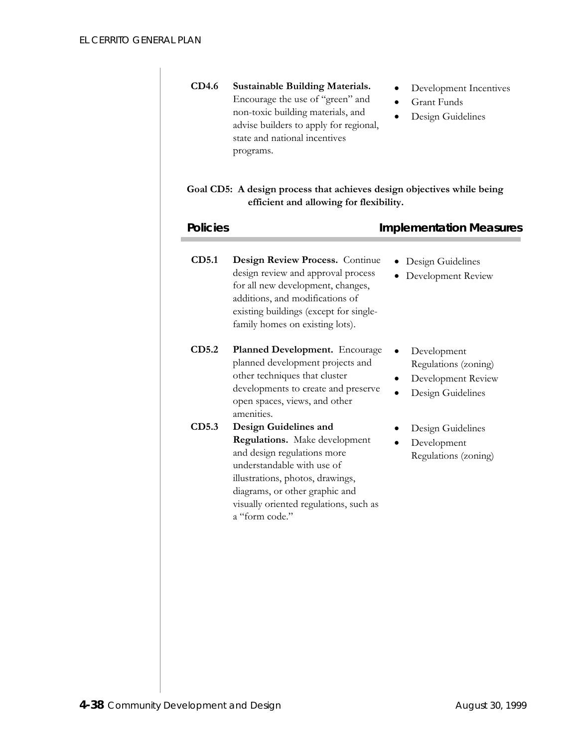| <b>Sustainable Building Materials.</b><br>Encourage the use of "green" and<br>non-toxic building materials, and<br>advise builders to apply for regional,<br>state and national incentives<br>programs.                                               | Development Incentives<br><b>Grant Funds</b><br>Design Guidelines              |
|-------------------------------------------------------------------------------------------------------------------------------------------------------------------------------------------------------------------------------------------------------|--------------------------------------------------------------------------------|
| Goal CD5: A design process that achieves design objectives while being<br>efficient and allowing for flexibility.                                                                                                                                     |                                                                                |
|                                                                                                                                                                                                                                                       | <b>Implementation Measures</b>                                                 |
| Design Review Process. Continue<br>design review and approval process<br>for all new development, changes,<br>additions, and modifications of<br>existing buildings (except for single-<br>family homes on existing lots).                            | Design Guidelines<br>Development Review                                        |
| Planned Development. Encourage<br>planned development projects and<br>other techniques that cluster<br>developments to create and preserve<br>open spaces, views, and other<br>amenities.                                                             | Development<br>Regulations (zoning)<br>Development Review<br>Design Guidelines |
| Design Guidelines and<br>Regulations. Make development<br>and design regulations more<br>understandable with use of<br>illustrations, photos, drawings,<br>diagrams, or other graphic and<br>visually oriented regulations, such as<br>a "form code." | Design Guidelines<br>Development<br>Regulations (zoning)                       |
|                                                                                                                                                                                                                                                       | <b>Policies</b>                                                                |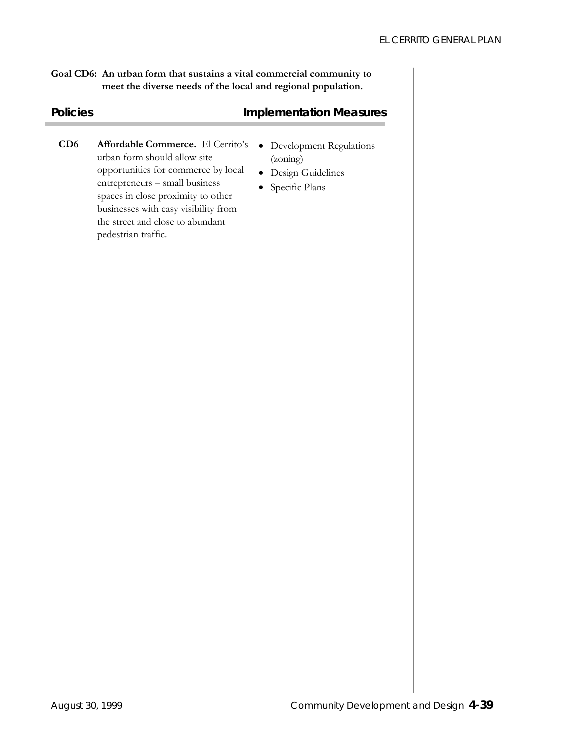**Goal CD6: An urban form that sustains a vital commercial community to meet the diverse needs of the local and regional population.** 

# **Policies Policies Implementation Measures**

- **CD6 Affordable Commerce.** El Cerrito's urban form should allow site opportunities for commerce by local entrepreneurs – small business spaces in close proximity to other businesses with easy visibility from the street and close to abundant pedestrian traffic.
- Development Regulations (zoning)
- Design Guidelines
- Specific Plans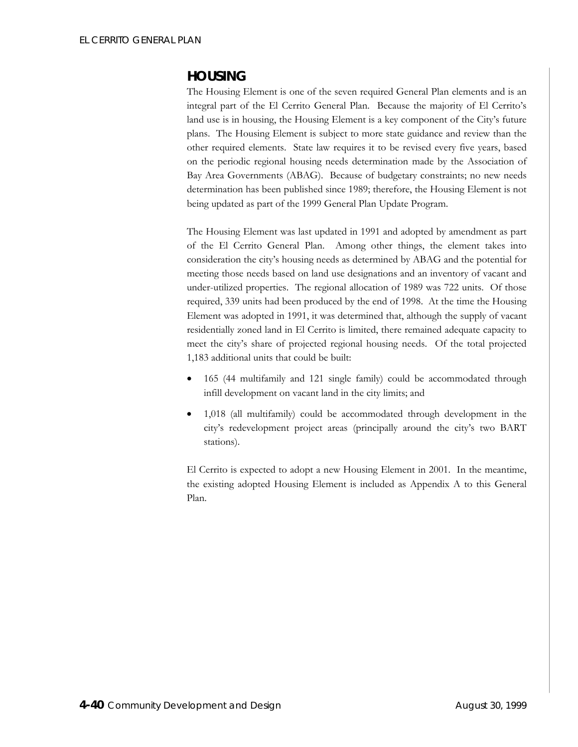# **HOUSING**

The Housing Element is one of the seven required General Plan elements and is an integral part of the El Cerrito General Plan. Because the majority of El Cerrito's land use is in housing, the Housing Element is a key component of the City's future plans. The Housing Element is subject to more state guidance and review than the other required elements. State law requires it to be revised every five years, based on the periodic regional housing needs determination made by the Association of Bay Area Governments (ABAG). Because of budgetary constraints; no new needs determination has been published since 1989; therefore, the Housing Element is not being updated as part of the 1999 General Plan Update Program.

The Housing Element was last updated in 1991 and adopted by amendment as part of the El Cerrito General Plan. Among other things, the element takes into consideration the city's housing needs as determined by ABAG and the potential for meeting those needs based on land use designations and an inventory of vacant and under-utilized properties. The regional allocation of 1989 was 722 units. Of those required, 339 units had been produced by the end of 1998. At the time the Housing Element was adopted in 1991, it was determined that, although the supply of vacant residentially zoned land in El Cerrito is limited, there remained adequate capacity to meet the city's share of projected regional housing needs. Of the total projected 1,183 additional units that could be built:

- 165 (44 multifamily and 121 single family) could be accommodated through infill development on vacant land in the city limits; and
- 1,018 (all multifamily) could be accommodated through development in the city's redevelopment project areas (principally around the city's two BART stations).

El Cerrito is expected to adopt a new Housing Element in 2001. In the meantime, the existing adopted Housing Element is included as Appendix A to this General Plan.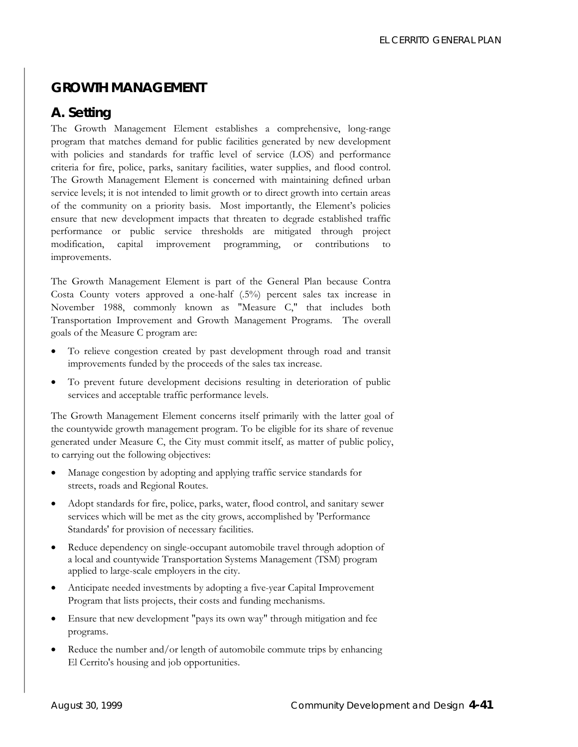# **GROWTH MANAGEMENT**

# **A. Setting**

The Growth Management Element establishes a comprehensive, long-range program that matches demand for public facilities generated by new development with policies and standards for traffic level of service (LOS) and performance criteria for fire, police, parks, sanitary facilities, water supplies, and flood control. The Growth Management Element is concerned with maintaining defined urban service levels; it is not intended to limit growth or to direct growth into certain areas of the community on a priority basis. Most importantly, the Element's policies ensure that new development impacts that threaten to degrade established traffic performance or public service thresholds are mitigated through project modification, capital improvement programming, or contributions to improvements.

The Growth Management Element is part of the General Plan because Contra Costa County voters approved a one-half (.5%) percent sales tax increase in November 1988, commonly known as "Measure C," that includes both Transportation Improvement and Growth Management Programs. The overall goals of the Measure C program are:

- To relieve congestion created by past development through road and transit improvements funded by the proceeds of the sales tax increase.
- To prevent future development decisions resulting in deterioration of public services and acceptable traffic performance levels.

The Growth Management Element concerns itself primarily with the latter goal of the countywide growth management program. To be eligible for its share of revenue generated under Measure C, the City must commit itself, as matter of public policy, to carrying out the following objectives:

- Manage congestion by adopting and applying traffic service standards for streets, roads and Regional Routes.
- Adopt standards for fire, police, parks, water, flood control, and sanitary sewer services which will be met as the city grows, accomplished by 'Performance Standards' for provision of necessary facilities.
- Reduce dependency on single-occupant automobile travel through adoption of a local and countywide Transportation Systems Management (TSM) program applied to large-scale employers in the city.
- Anticipate needed investments by adopting a five-year Capital Improvement Program that lists projects, their costs and funding mechanisms.
- Ensure that new development "pays its own way" through mitigation and fee programs.
- Reduce the number and/or length of automobile commute trips by enhancing El Cerrito's housing and job opportunities.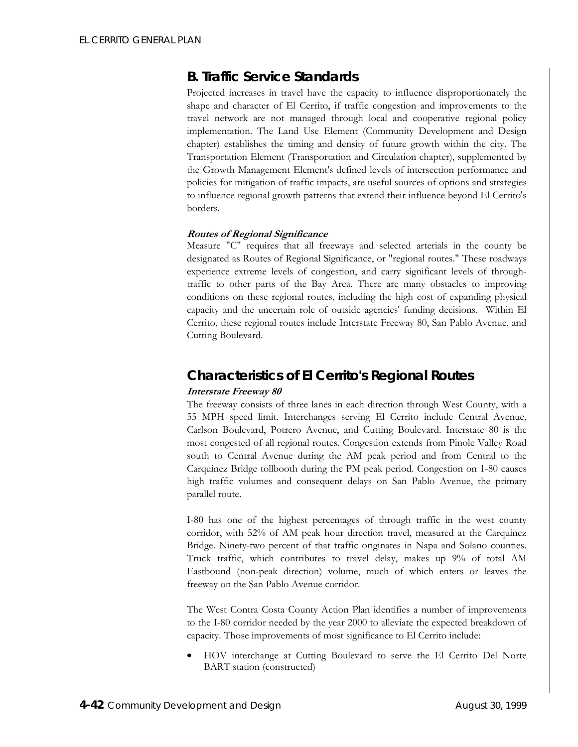# **B. Traffic Service Standards**

Projected increases in travel have the capacity to influence disproportionately the shape and character of El Cerrito, if traffic congestion and improvements to the travel network are not managed through local and cooperative regional policy implementation. The Land Use Element (Community Development and Design chapter) establishes the timing and density of future growth within the city. The Transportation Element (Transportation and Circulation chapter), supplemented by the Growth Management Element's defined levels of intersection performance and policies for mitigation of traffic impacts, are useful sources of options and strategies to influence regional growth patterns that extend their influence beyond El Cerrito's borders.

### **Routes of Regional Significance**

Measure "C" requires that all freeways and selected arterials in the county be designated as Routes of Regional Significance, or "regional routes." These roadways experience extreme levels of congestion, and carry significant levels of throughtraffic to other parts of the Bay Area. There are many obstacles to improving conditions on these regional routes, including the high cost of expanding physical capacity and the uncertain role of outside agencies' funding decisions. Within El Cerrito, these regional routes include Interstate Freeway 80, San Pablo Avenue, and Cutting Boulevard.

# *Characteristics of El Cerrito's Regional Routes*

### **Interstate Freeway 80**

The freeway consists of three lanes in each direction through West County, with a 55 MPH speed limit. Interchanges serving El Cerrito include Central Avenue, Carlson Boulevard, Potrero Avenue, and Cutting Boulevard. Interstate 80 is the most congested of all regional routes. Congestion extends from Pinole Valley Road south to Central Avenue during the AM peak period and from Central to the Carquinez Bridge tollbooth during the PM peak period. Congestion on 1-80 causes high traffic volumes and consequent delays on San Pablo Avenue, the primary parallel route.

I-80 has one of the highest percentages of through traffic in the west county corridor, with 52% of AM peak hour direction travel, measured at the Carquinez Bridge. Ninety-two percent of that traffic originates in Napa and Solano counties. Truck traffic, which contributes to travel delay, makes up 9% of total AM Eastbound (non-peak direction) volume, much of which enters or leaves the freeway on the San Pablo Avenue corridor.

The West Contra Costa County Action Plan identifies a number of improvements to the I-80 corridor needed by the year 2000 to alleviate the expected breakdown of capacity. Those improvements of most significance to El Cerrito include:

• HOV interchange at Cutting Boulevard to serve the El Cerrito Del Norte BART station (constructed)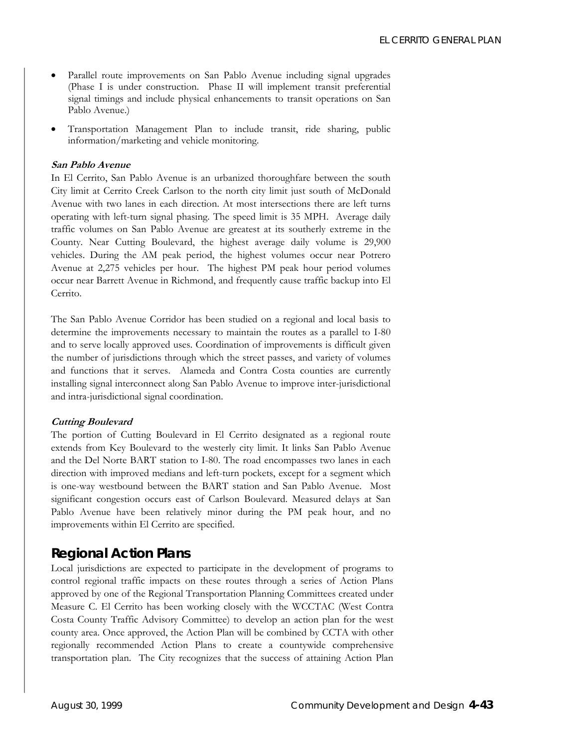- Parallel route improvements on San Pablo Avenue including signal upgrades (Phase I is under construction. Phase II will implement transit preferential signal timings and include physical enhancements to transit operations on San Pablo Avenue.)
- Transportation Management Plan to include transit, ride sharing, public information/marketing and vehicle monitoring.

### **San Pablo Avenue**

In El Cerrito, San Pablo Avenue is an urbanized thoroughfare between the south City limit at Cerrito Creek Carlson to the north city limit just south of McDonald Avenue with two lanes in each direction. At most intersections there are left turns operating with left-turn signal phasing. The speed limit is 35 MPH. Average daily traffic volumes on San Pablo Avenue are greatest at its southerly extreme in the County. Near Cutting Boulevard, the highest average daily volume is 29,900 vehicles. During the AM peak period, the highest volumes occur near Potrero Avenue at 2,275 vehicles per hour. The highest PM peak hour period volumes occur near Barrett Avenue in Richmond, and frequently cause traffic backup into El Cerrito.

The San Pablo Avenue Corridor has been studied on a regional and local basis to determine the improvements necessary to maintain the routes as a parallel to I-80 and to serve locally approved uses. Coordination of improvements is difficult given the number of jurisdictions through which the street passes, and variety of volumes and functions that it serves. Alameda and Contra Costa counties are currently installing signal interconnect along San Pablo Avenue to improve inter-jurisdictional and intra-jurisdictional signal coordination.

#### **Cutting Boulevard**

The portion of Cutting Boulevard in El Cerrito designated as a regional route extends from Key Boulevard to the westerly city limit. It links San Pablo Avenue and the Del Norte BART station to I-80. The road encompasses two lanes in each direction with improved medians and left-turn pockets, except for a segment which is one-way westbound between the BART station and San Pablo Avenue. Most significant congestion occurs east of Carlson Boulevard. Measured delays at San Pablo Avenue have been relatively minor during the PM peak hour, and no improvements within El Cerrito are specified.

### *Regional Action Plans*

Local jurisdictions are expected to participate in the development of programs to control regional traffic impacts on these routes through a series of Action Plans approved by one of the Regional Transportation Planning Committees created under Measure C. El Cerrito has been working closely with the WCCTAC (West Contra Costa County Traffic Advisory Committee) to develop an action plan for the west county area. Once approved, the Action Plan will be combined by CCTA with other regionally recommended Action Plans to create a countywide comprehensive transportation plan. The City recognizes that the success of attaining Action Plan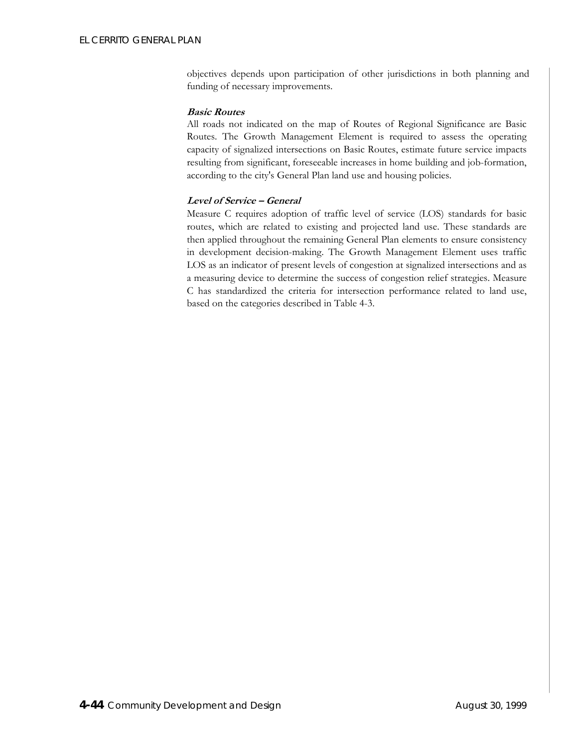objectives depends upon participation of other jurisdictions in both planning and funding of necessary improvements.

### **Basic Routes**

All roads not indicated on the map of Routes of Regional Significance are Basic Routes. The Growth Management Element is required to assess the operating capacity of signalized intersections on Basic Routes, estimate future service impacts resulting from significant, foreseeable increases in home building and job-formation, according to the city's General Plan land use and housing policies.

### **Level of Service – General**

Measure C requires adoption of traffic level of service (LOS) standards for basic routes, which are related to existing and projected land use. These standards are then applied throughout the remaining General Plan elements to ensure consistency in development decision-making. The Growth Management Element uses traffic LOS as an indicator of present levels of congestion at signalized intersections and as a measuring device to determine the success of congestion relief strategies. Measure C has standardized the criteria for intersection performance related to land use, based on the categories described in Table 4-3.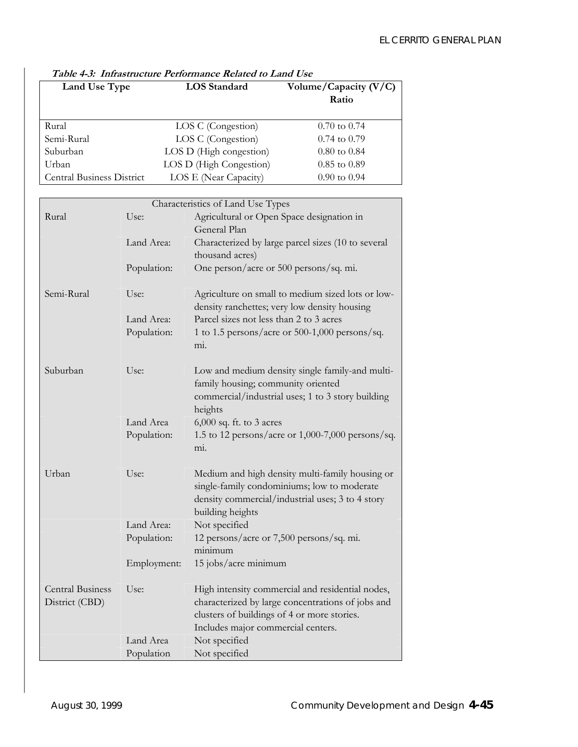| Land Use Type                    | <b>LOS</b> Standard     | Volume/Capacity (V/C)<br>Ratio |  |
|----------------------------------|-------------------------|--------------------------------|--|
|                                  |                         |                                |  |
| Rural                            | LOS C (Congestion)      | $0.70 \text{ to } 0.74$        |  |
| Semi-Rural                       | LOS C (Congestion)      | $0.74$ to $0.79$               |  |
| Suburban                         | LOS D (High congestion) | $0.80 \text{ to } 0.84$        |  |
| Urban                            | LOS D (High Congestion) | $0.85$ to $0.89$               |  |
| <b>Central Business District</b> | LOS E (Near Capacity)   | $0.90$ to $0.94$               |  |

# **Table 4-3: Infrastructure Performance Related to Land Use**

|                         |             | Characteristics of Land Use Types                                                                 |  |
|-------------------------|-------------|---------------------------------------------------------------------------------------------------|--|
| Rural                   | Use:        | Agricultural or Open Space designation in                                                         |  |
|                         |             | General Plan                                                                                      |  |
|                         | Land Area:  | Characterized by large parcel sizes (10 to several                                                |  |
|                         |             | thousand acres)                                                                                   |  |
|                         | Population: | One person/acre or 500 persons/sq. mi.                                                            |  |
| Semi-Rural              | Use:        | Agriculture on small to medium sized lots or low-<br>density ranchettes; very low density housing |  |
|                         | Land Area:  | Parcel sizes not less than 2 to 3 acres                                                           |  |
|                         | Population: | 1 to 1.5 persons/acre or 500-1,000 persons/sq.                                                    |  |
|                         |             | mi.                                                                                               |  |
| Suburban                | Use:        | Low and medium density single family-and multi-                                                   |  |
|                         |             | family housing; community oriented                                                                |  |
|                         |             | commercial/industrial uses; 1 to 3 story building                                                 |  |
|                         |             | heights                                                                                           |  |
|                         | Land Area   | 6,000 sq. ft. to 3 acres                                                                          |  |
|                         | Population: | 1.5 to 12 persons/acre or 1,000-7,000 persons/sq.                                                 |  |
|                         |             | mi.                                                                                               |  |
| Urban                   | Use:        | Medium and high density multi-family housing or                                                   |  |
|                         |             | single-family condominiums; low to moderate                                                       |  |
|                         |             | density commercial/industrial uses; 3 to 4 story                                                  |  |
|                         |             | building heights                                                                                  |  |
|                         | Land Area:  | Not specified                                                                                     |  |
|                         | Population: | 12 persons/acre or 7,500 persons/sq. mi.                                                          |  |
|                         |             | minimum                                                                                           |  |
|                         | Employment: | 15 jobs/acre minimum                                                                              |  |
| <b>Central Business</b> | Use:        | High intensity commercial and residential nodes,                                                  |  |
| District (CBD)          |             | characterized by large concentrations of jobs and                                                 |  |
|                         |             | clusters of buildings of 4 or more stories.                                                       |  |
|                         |             | Includes major commercial centers.                                                                |  |
|                         | Land Area   | Not specified                                                                                     |  |
|                         | Population  | Not specified                                                                                     |  |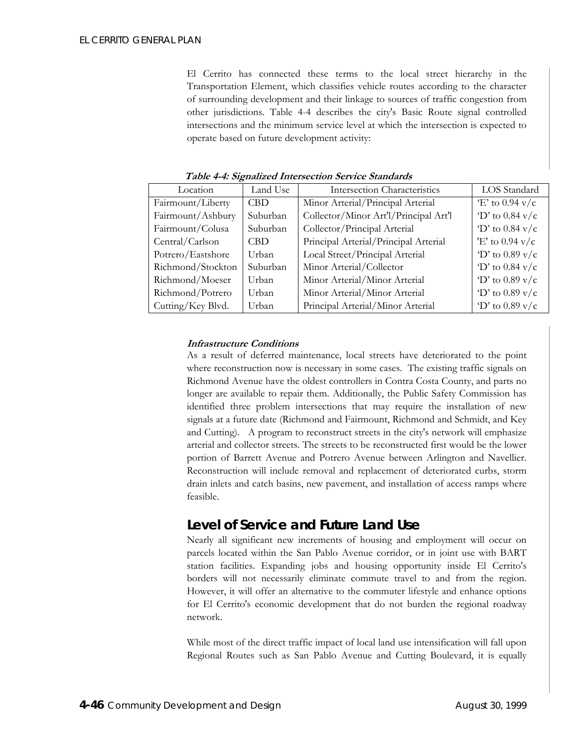El Cerrito has connected these terms to the local street hierarchy in the Transportation Element, which classifies vehicle routes according to the character of surrounding development and their linkage to sources of traffic congestion from other jurisdictions. Table 4-4 describes the city's Basic Route signal controlled intersections and the minimum service level at which the intersection is expected to operate based on future development activity:

| Location          | Land Use   | <b>Intersection Characteristics</b>   | LOS Standard         |
|-------------------|------------|---------------------------------------|----------------------|
| Fairmount/Liberty | <b>CBD</b> | Minor Arterial/Principal Arterial     | $E'$ to 0.94 v/c     |
| Fairmount/Ashbury | Suburban   | Collector/Minor Art'l/Principal Art'l | $D'$ to 0.84 v/c     |
| Fairmount/Colusa  | Suburban   | Collector/Principal Arterial          | $\gamma$ to 0.84 v/c |
| Central/Carlson   | CBD.       | Principal Arterial/Principal Arterial | 'E' to $0.94$ v/c    |
| Potrero/Eastshore | Urban      | Local Street/Principal Arterial       | $D'$ to 0.89 v/c     |
| Richmond/Stockton | Suburban   | Minor Arterial/Collector              | 'D' to $0.84$ v/c    |
| Richmond/Moeser   | Urban      | Minor Arterial/Minor Arterial         | 'D' to $0.89$ v/c    |
| Richmond/Potrero  | Urban      | Minor Arterial/Minor Arterial         | 'D' to $0.89$ v/c    |
| Cutting/Key Blvd. | Urban      | Principal Arterial/Minor Arterial     | $D'$ to 0.89 v/c     |

**Table 4-4: Signalized Intersection Service Standards** 

### **Infrastructure Conditions**

As a result of deferred maintenance, local streets have deteriorated to the point where reconstruction now is necessary in some cases. The existing traffic signals on Richmond Avenue have the oldest controllers in Contra Costa County, and parts no longer are available to repair them. Additionally, the Public Safety Commission has identified three problem intersections that may require the installation of new signals at a future date (Richmond and Fairmount, Richmond and Schmidt, and Key and Cutting). A program to reconstruct streets in the city's network will emphasize arterial and collector streets. The streets to be reconstructed first would be the lower portion of Barrett Avenue and Potrero Avenue between Arlington and Navellier. Reconstruction will include removal and replacement of deteriorated curbs, storm drain inlets and catch basins, new pavement, and installation of access ramps where feasible.

# *Level of Service and Future Land Use*

Nearly all significant new increments of housing and employment will occur on parcels located within the San Pablo Avenue corridor, or in joint use with BART station facilities. Expanding jobs and housing opportunity inside El Cerrito's borders will not necessarily eliminate commute travel to and from the region. However, it will offer an alternative to the commuter lifestyle and enhance options for El Cerrito's economic development that do not burden the regional roadway network.

While most of the direct traffic impact of local land use intensification will fall upon Regional Routes such as San Pablo Avenue and Cutting Boulevard, it is equally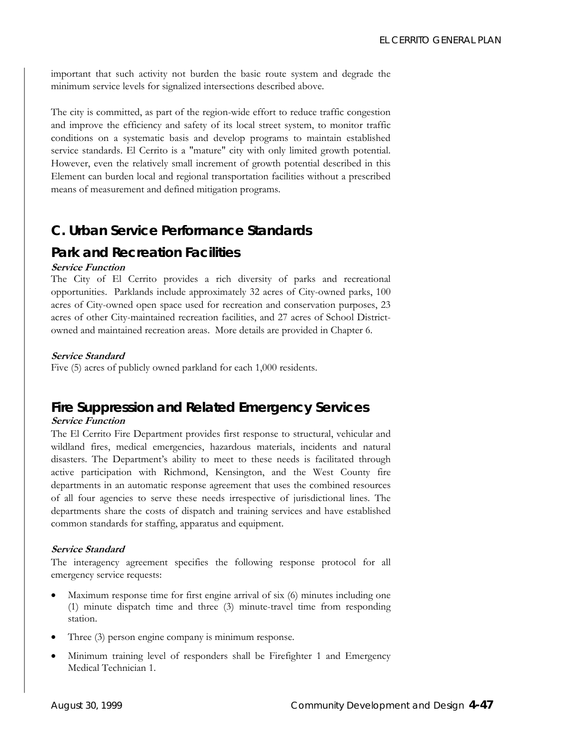important that such activity not burden the basic route system and degrade the minimum service levels for signalized intersections described above.

The city is committed, as part of the region-wide effort to reduce traffic congestion and improve the efficiency and safety of its local street system, to monitor traffic conditions on a systematic basis and develop programs to maintain established service standards. El Cerrito is a "mature" city with only limited growth potential. However, even the relatively small increment of growth potential described in this Element can burden local and regional transportation facilities without a prescribed means of measurement and defined mitigation programs.

# **C. Urban Service Performance Standards**

# *Park and Recreation Facilities*

### **Service Function**

The City of El Cerrito provides a rich diversity of parks and recreational opportunities. Parklands include approximately 32 acres of City-owned parks, 100 acres of City-owned open space used for recreation and conservation purposes, 23 acres of other City-maintained recreation facilities, and 27 acres of School Districtowned and maintained recreation areas. More details are provided in Chapter 6.

### **Service Standard**

Five (5) acres of publicly owned parkland for each 1,000 residents.

# *Fire Suppression and Related Emergency Services*  **Service Function**

The El Cerrito Fire Department provides first response to structural, vehicular and wildland fires, medical emergencies, hazardous materials, incidents and natural disasters. The Department's ability to meet to these needs is facilitated through active participation with Richmond, Kensington, and the West County fire departments in an automatic response agreement that uses the combined resources of all four agencies to serve these needs irrespective of jurisdictional lines. The departments share the costs of dispatch and training services and have established common standards for staffing, apparatus and equipment.

### **Service Standard**

The interagency agreement specifies the following response protocol for all emergency service requests:

- Maximum response time for first engine arrival of six (6) minutes including one (1) minute dispatch time and three (3) minute-travel time from responding station.
- Three (3) person engine company is minimum response.
- Minimum training level of responders shall be Firefighter 1 and Emergency Medical Technician 1.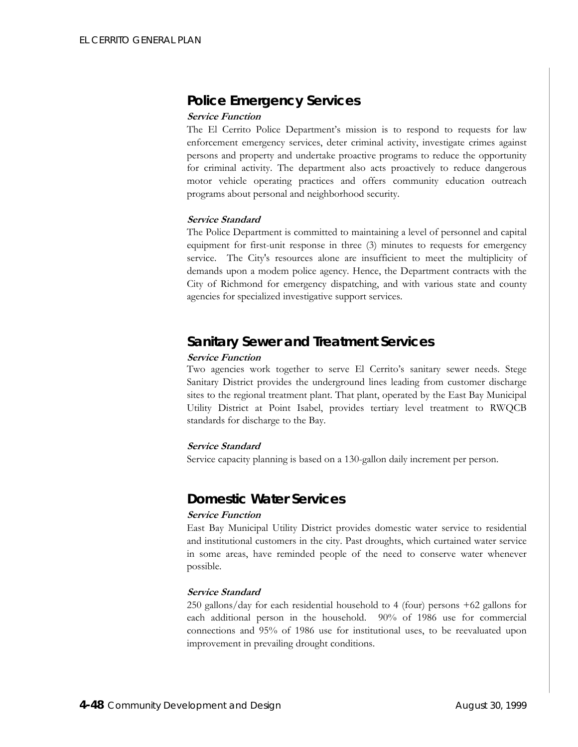# *Police Emergency Services*

### **Service Function**

The El Cerrito Police Department's mission is to respond to requests for law enforcement emergency services, deter criminal activity, investigate crimes against persons and property and undertake proactive programs to reduce the opportunity for criminal activity. The department also acts proactively to reduce dangerous motor vehicle operating practices and offers community education outreach programs about personal and neighborhood security.

### **Service Standard**

The Police Department is committed to maintaining a level of personnel and capital equipment for first-unit response in three (3) minutes to requests for emergency service. The City's resources alone are insufficient to meet the multiplicity of demands upon a modem police agency. Hence, the Department contracts with the City of Richmond for emergency dispatching, and with various state and county agencies for specialized investigative support services.

# *Sanitary Sewer and Treatment Services*

### **Service Function**

Two agencies work together to serve El Cerrito's sanitary sewer needs. Stege Sanitary District provides the underground lines leading from customer discharge sites to the regional treatment plant. That plant, operated by the East Bay Municipal Utility District at Point Isabel, provides tertiary level treatment to RWQCB standards for discharge to the Bay.

### **Service Standard**

Service capacity planning is based on a 130-gallon daily increment per person.

# *Domestic Water Services*

### **Service Function**

East Bay Municipal Utility District provides domestic water service to residential and institutional customers in the city. Past droughts, which curtained water service in some areas, have reminded people of the need to conserve water whenever possible.

### **Service Standard**

250 gallons/day for each residential household to 4 (four) persons +62 gallons for each additional person in the household. 90% of 1986 use for commercial connections and 95% of 1986 use for institutional uses, to be reevaluated upon improvement in prevailing drought conditions.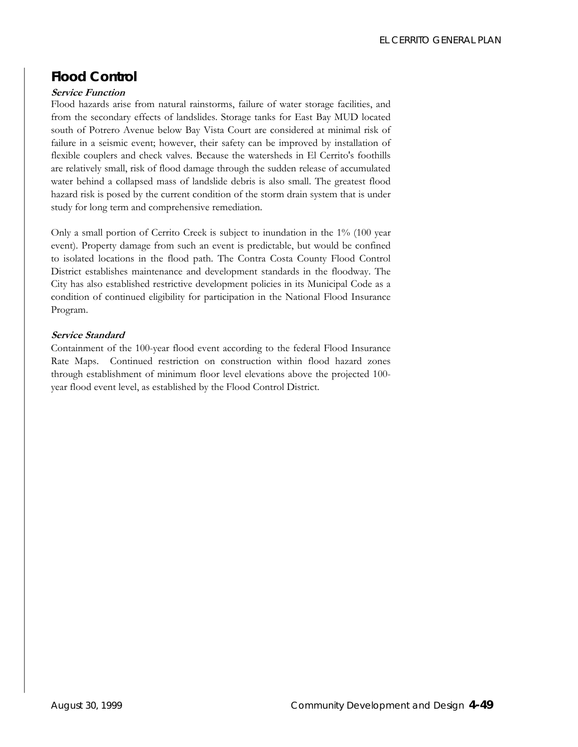# *Flood Control*

### **Service Function**

Flood hazards arise from natural rainstorms, failure of water storage facilities, and from the secondary effects of landslides. Storage tanks for East Bay MUD located south of Potrero Avenue below Bay Vista Court are considered at minimal risk of failure in a seismic event; however, their safety can be improved by installation of flexible couplers and check valves. Because the watersheds in El Cerrito's foothills are relatively small, risk of flood damage through the sudden release of accumulated water behind a collapsed mass of landslide debris is also small. The greatest flood hazard risk is posed by the current condition of the storm drain system that is under study for long term and comprehensive remediation.

Only a small portion of Cerrito Creek is subject to inundation in the 1% (100 year event). Property damage from such an event is predictable, but would be confined to isolated locations in the flood path. The Contra Costa County Flood Control District establishes maintenance and development standards in the floodway. The City has also established restrictive development policies in its Municipal Code as a condition of continued eligibility for participation in the National Flood Insurance Program.

### **Service Standard**

Containment of the 100-year flood event according to the federal Flood Insurance Rate Maps. Continued restriction on construction within flood hazard zones through establishment of minimum floor level elevations above the projected 100 year flood event level, as established by the Flood Control District.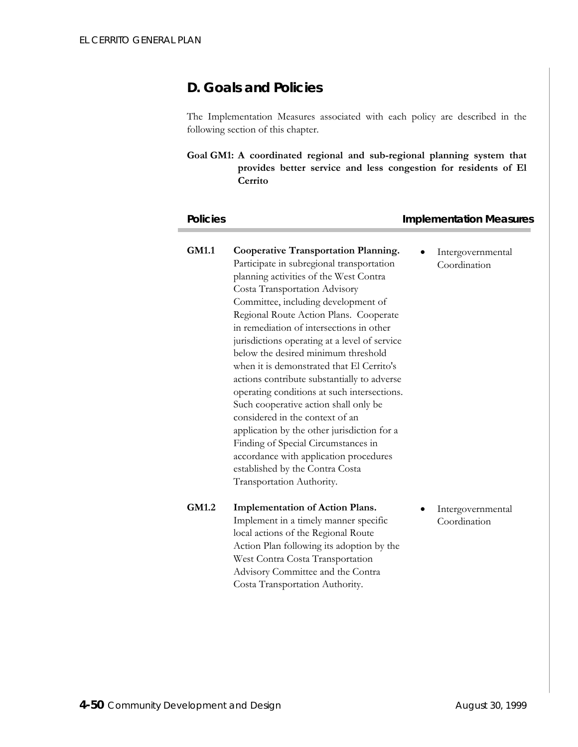# **D. Goals and Policies**

The Implementation Measures associated with each policy are described in the following section of this chapter.

**Goal GM1: A coordinated regional and sub-regional planning system that provides better service and less congestion for residents of El Cerrito** 

### **Policies Implementation Measures**

**GM1.1 Cooperative Transportation Planning.**  Participate in subregional transportation planning activities of the West Contra Costa Transportation Advisory Committee, including development of Regional Route Action Plans. Cooperate in remediation of intersections in other jurisdictions operating at a level of service below the desired minimum threshold when it is demonstrated that El Cerrito's actions contribute substantially to adverse operating conditions at such intersections. Such cooperative action shall only be considered in the context of an application by the other jurisdiction for a Finding of Special Circumstances in accordance with application procedures established by the Contra Costa Transportation Authority. • Intergovernmental Coordination **GM1.2 Implementation of Action Plans.**  Implement in a timely manner specific local actions of the Regional Route Action Plan following its adoption by the West Contra Costa Transportation Advisory Committee and the Contra Costa Transportation Authority. **Intergovernmental** Coordination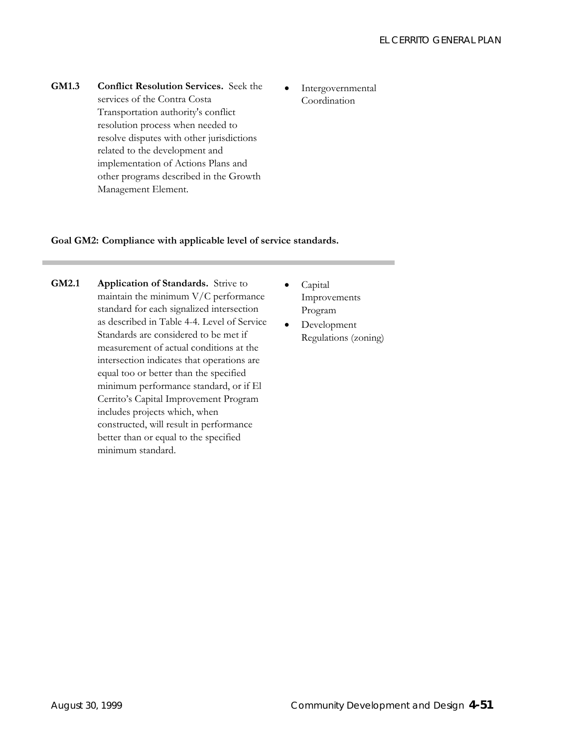- **GM1.3 Conflict Resolution Services.** Seek the services of the Contra Costa Transportation authority's conflict resolution process when needed to resolve disputes with other jurisdictions related to the development and implementation of Actions Plans and other programs described in the Growth Management Element.
- Intergovernmental Coordination

### **Goal GM2: Compliance with applicable level of service standards.**

- **GM2.1 Application of Standards.** Strive to maintain the minimum V/C performance standard for each signalized intersection as described in Table 4-4. Level of Service Standards are considered to be met if measurement of actual conditions at the intersection indicates that operations are equal too or better than the specified minimum performance standard, or if El Cerrito's Capital Improvement Program includes projects which, when constructed, will result in performance better than or equal to the specified minimum standard.
- Capital Improvements Program
- Development Regulations (zoning)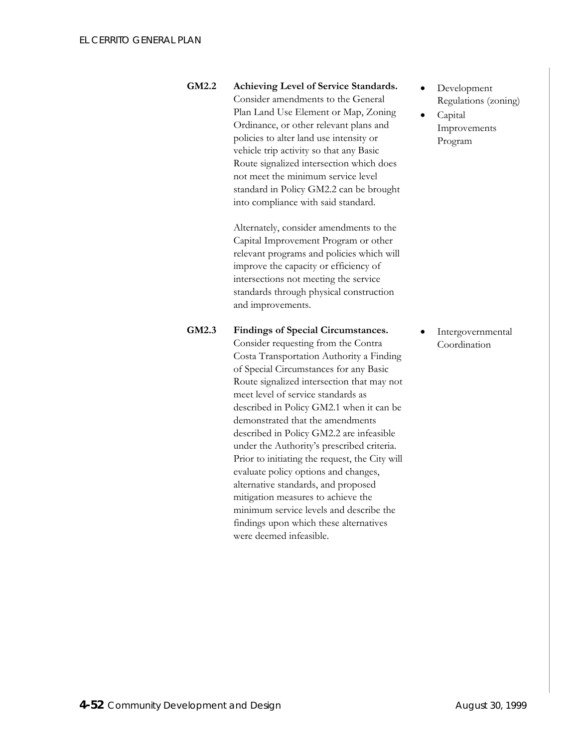**GM2.2 Achieving Level of Service Standards.**  Consider amendments to the General Plan Land Use Element or Map, Zoning Ordinance, or other relevant plans and policies to alter land use intensity or vehicle trip activity so that any Basic Route signalized intersection which does not meet the minimum service level standard in Policy GM2.2 can be brought into compliance with said standard.

> Alternately, consider amendments to the Capital Improvement Program or other relevant programs and policies which will improve the capacity or efficiency of intersections not meeting the service standards through physical construction and improvements.

**GM2.3 Findings of Special Circumstances.**  Consider requesting from the Contra Costa Transportation Authority a Finding of Special Circumstances for any Basic Route signalized intersection that may not meet level of service standards as described in Policy GM2.1 when it can be demonstrated that the amendments described in Policy GM2.2 are infeasible

> mitigation measures to achieve the minimum service levels and describe the findings upon which these alternatives

were deemed infeasible.

under the Authority's prescribed criteria. Prior to initiating the request, the City will evaluate policy options and changes, alternative standards, and proposed

- Development Regulations (zoning)
- Capital Improvements Program

**Intergovernmental** Coordination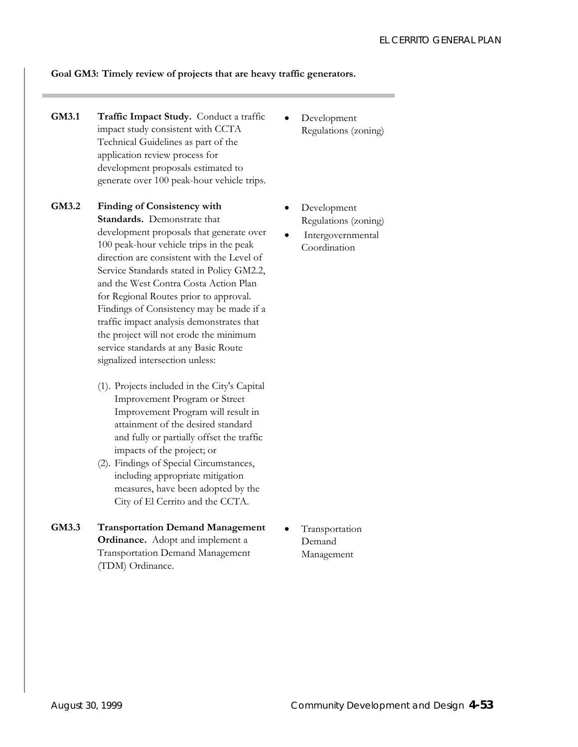### **Goal GM3: Timely review of projects that are heavy traffic generators.**

- **GM3.1 Traffic Impact Study.** Conduct a traffic impact study consistent with CCTA Technical Guidelines as part of the application review process for development proposals estimated to generate over 100 peak-hour vehicle trips.
- **GM3.2 Finding of Consistency with Standards.** Demonstrate that development proposals that generate over 100 peak-hour vehicle trips in the peak direction are consistent with the Level of Service Standards stated in Policy GM2.2, and the West Contra Costa Action Plan for Regional Routes prior to approval. Findings of Consistency may be made if a traffic impact analysis demonstrates that the project will not erode the minimum service standards at any Basic Route signalized intersection unless:
	- (1). Projects included in the City's Capital Improvement Program or Street Improvement Program will result in attainment of the desired standard and fully or partially offset the traffic impacts of the project; or
	- (2). Findings of Special Circumstances, including appropriate mitigation measures, have been adopted by the City of El Cerrito and the CCTA.
- **GM3.3 Transportation Demand Management Ordinance.** Adopt and implement a Transportation Demand Management (TDM) Ordinance.
- Development Regulations (zoning)
- Development Regulations (zoning)
- **Intergovernmental** Coordination

**Transportation** Demand Management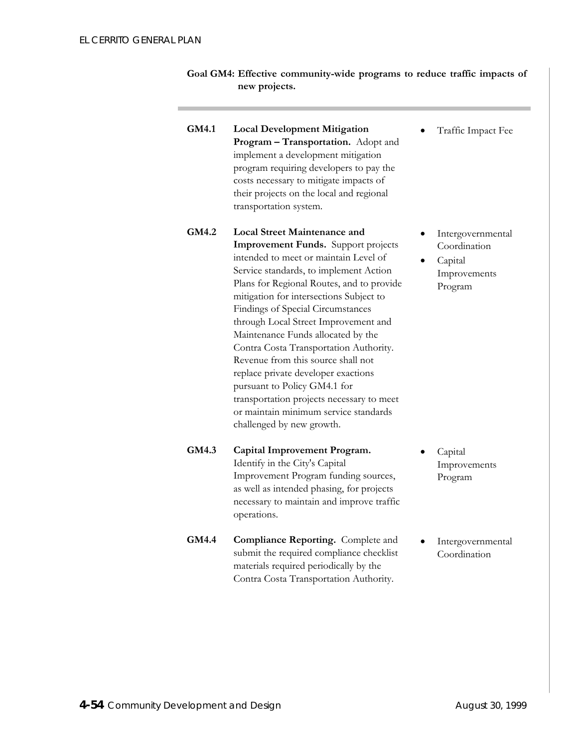- **Goal GM4: Effective community-wide programs to reduce traffic impacts of new projects.**
- **GM4.1 Local Development Mitigation Program – Transportation.** Adopt and implement a development mitigation program requiring developers to pay the costs necessary to mitigate impacts of their projects on the local and regional transportation system.
- **GM4.2 Local Street Maintenance and Improvement Funds.** Support projects intended to meet or maintain Level of Service standards, to implement Action Plans for Regional Routes, and to provide mitigation for intersections Subject to Findings of Special Circumstances through Local Street Improvement and Maintenance Funds allocated by the Contra Costa Transportation Authority. Revenue from this source shall not replace private developer exactions pursuant to Policy GM4.1 for transportation projects necessary to meet or maintain minimum service standards challenged by new growth.
- **GM4.3 Capital Improvement Program.**  Identify in the City's Capital Improvement Program funding sources, as well as intended phasing, for projects necessary to maintain and improve traffic operations.

**GM4.4 Compliance Reporting.** Complete and

submit the required compliance checklist materials required periodically by the Contra Costa Transportation Authority.

• Capital Improvements Program

• Traffic Impact Fee

**Intergovernmental** Coordination

Improvements Program

• Capital

• Intergovernmental Coordination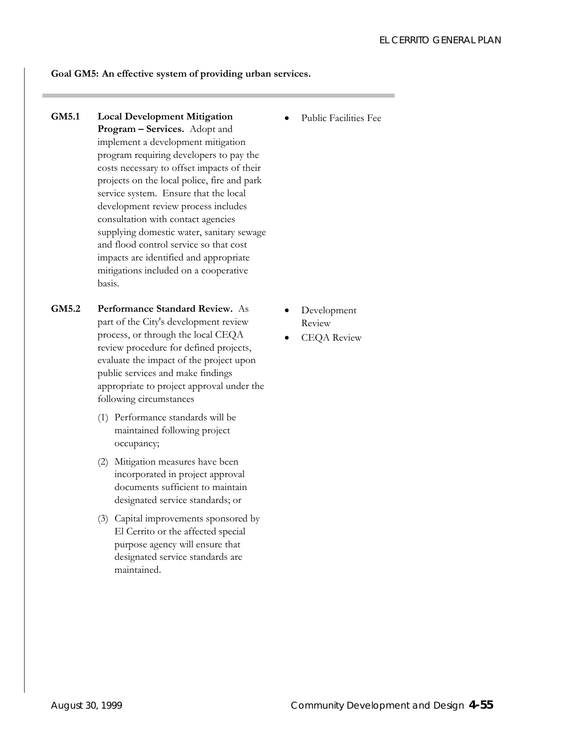### **Goal GM5: An effective system of providing urban services.**

- **GM5.1 Local Development Mitigation Program – Services.** Adopt and implement a development mitigation program requiring developers to pay the costs necessary to offset impacts of their projects on the local police, fire and park service system. Ensure that the local development review process includes consultation with contact agencies supplying domestic water, sanitary sewage and flood control service so that cost impacts are identified and appropriate mitigations included on a cooperative basis.
- **GM5.2 Performance Standard Review.** As part of the City's development review process, or through the local CEQA review procedure for defined projects, evaluate the impact of the project upon public services and make findings appropriate to project approval under the following circumstances
	- (1) Performance standards will be maintained following project occupancy;
	- (2) Mitigation measures have been incorporated in project approval documents sufficient to maintain designated service standards; or
	- (3) Capital improvements sponsored by El Cerrito or the affected special purpose agency will ensure that designated service standards are maintained.

• Public Facilities Fee

- Development Review
- CEQA Review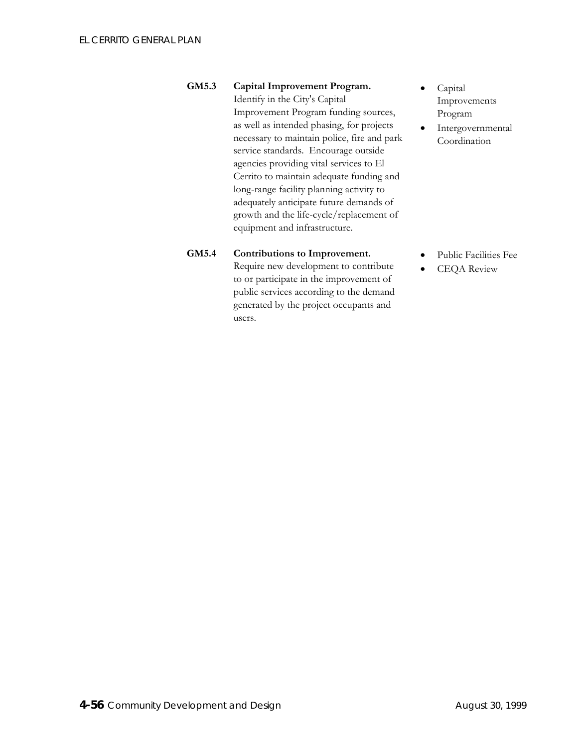**GM5.3 Capital Improvement Program.**  Identify in the City's Capital Improvement Program funding sources, as well as intended phasing, for projects

necessary to maintain police, fire and park service standards. Encourage outside agencies providing vital services to El Cerrito to maintain adequate funding and long-range facility planning activity to adequately anticipate future demands of growth and the life-cycle/replacement of equipment and infrastructure.

### **GM5.4 Contributions to Improvement.**

Require new development to contribute to or participate in the improvement of public services according to the demand generated by the project occupants and users.

- Capital Improvements Program
- Intergovernmental Coordination

- Public Facilities Fee
- CEQA Review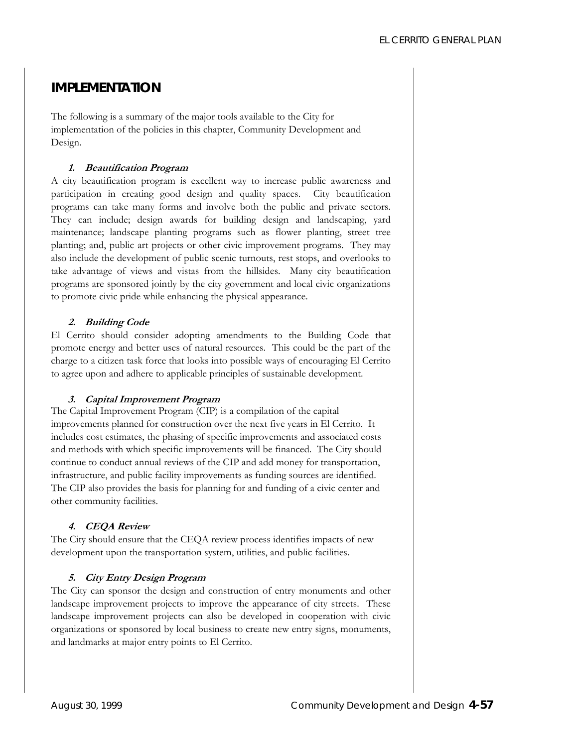# **IMPLEMENTATION**

The following is a summary of the major tools available to the City for implementation of the policies in this chapter, Community Development and Design.

### **. r 1 Beautification P ogram**

A city beautification program is excellent way to increase public awareness and participation in creating good design and quality spaces. City beautification programs can take many forms and involve both the public and private sectors. They can include; design awards for building design and landscaping, yard maintenance; landscape planting programs such as flower planting, street tree planting; and, public art projects or other civic improvement programs. They may also include the development of public scenic turnouts, rest stops, and overlooks to take advantage of views and vistas from the hillsides. Many city beautification programs are sponsored jointly by the city government and local civic organizations to promote civic pride while enhancing the physical appearance.

# **2. Building Code**

El Cerrito should consider adopting amendments to the Building Code that promote energy and better uses of natural resources. This could be the part of the charge to a citizen task force that looks into possible ways of encouraging El Cerrito to agree upon and adhere to applicable principles of sustainable development.

# **3. Capital Improvement Program**

The Capital Improvement Program (CIP) is a compilation of the capital improvements planned for construction over the next five years in El Cerrito. It includes cost estimates, the phasing of specific improvements and associated costs and methods with which specific improvements will be financed. The City should continue to conduct annual reviews of the CIP and add money for transportation, infrastructure, and public facility improvements as funding sources are identified. The CIP also provides the basis for planning for and funding of a civic center and other community facilities.

# **4. CEQA Review**

The City should ensure that the CEQA review process identifies impacts of new development upon the transportation system, utilities, and public facilities.

# **5. City Entry Design Program**

The City can sponsor the design and construction of entry monuments and other landscape improvement projects to improve the appearance of city streets. These landscape improvement projects can also be developed in cooperation with civic organizations or sponsored by local business to create new entry signs, monuments, and landmarks at major entry points to El Cerrito.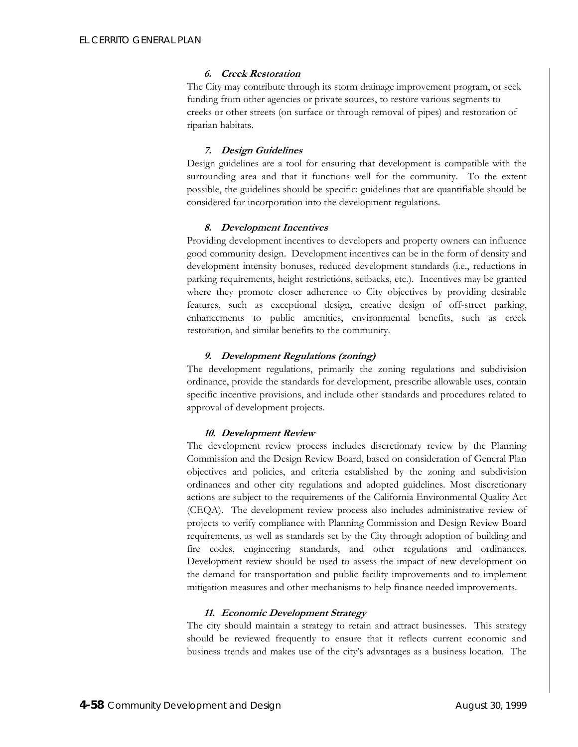### **6. Creek Restoration**

The City may contribute through its storm drainage improvement program, or seek funding from other agencies or private sources, to restore various segments to creeks or other streets (on surface or through removal of pipes) and restoration of riparian habitats.

### **7. Design Guidelines**

Design guidelines are a tool for ensuring that development is compatible with the surrounding area and that it functions well for the community. To the extent possible, the guidelines should be specific: guidelines that are quantifiable should be considered for incorporation into the development regulations.

### **8. Development Incentives**

Providing development incentives to developers and property owners can influence good community design. Development incentives can be in the form of density and development intensity bonuses, reduced development standards (i.e., reductions in parking requirements, height restrictions, setbacks, etc.). Incentives may be granted where they promote closer adherence to City objectives by providing desirable features, such as exceptional design, creative design of off-street parking, enhancements to public amenities, environmental benefits, such as creek restoration, and similar benefits to the community.

### **9. Development Regulations (zoning)**

The development regulations, primarily the zoning regulations and subdivision ordinance, provide the standards for development, prescribe allowable uses, contain specific incentive provisions, and include other standards and procedures related to approval of development projects.

### **10. Development Review**

The development review process includes discretionary review by the Planning Commission and the Design Review Board, based on consideration of General Plan objectives and policies, and criteria established by the zoning and subdivision ordinances and other city regulations and adopted guidelines. Most discretionary actions are subject to the requirements of the California Environmental Quality Act (CEQA). The development review process also includes administrative review of projects to verify compliance with Planning Commission and Design Review Board requirements, as well as standards set by the City through adoption of building and fire codes, engineering standards, and other regulations and ordinances. Development review should be used to assess the impact of new development on the demand for transportation and public facility improvements and to implement mitigation measures and other mechanisms to help finance needed improvements.

### **11. Economic Development Strategy**

The city should maintain a strategy to retain and attract businesses. This strategy should be reviewed frequently to ensure that it reflects current economic and business trends and makes use of the city's advantages as a business location. The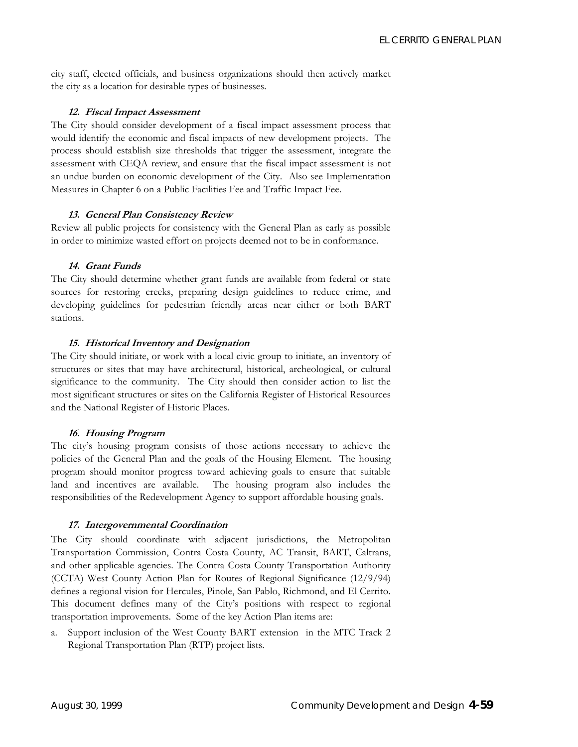city staff, elected officials, and business organizations should then actively market the city as a location for desirable types of businesses.

### **12. Fiscal Impact Assessment**

The City should consider development of a fiscal impact assessment process that would identify the economic and fiscal impacts of new development projects. The process should establish size thresholds that trigger the assessment, integrate the assessment with CEQA review, and ensure that the fiscal impact assessment is not an undue burden on economic development of the City. Also see Implementation Measures in Chapter 6 on a Public Facilities Fee and Traffic Impact Fee.

### **13. General Plan Consistency Review**

Review all public projects for consistency with the General Plan as early as possible in order to minimize wasted effort on projects deemed not to be in conformance.

### **14. Grant Funds**

The City should determine whether grant funds are available from federal or state sources for restoring creeks, preparing design guidelines to reduce crime, and developing guidelines for pedestrian friendly areas near either or both BART stations.

### **t 15. His orical Inventory and Designation**

The City should initiate, or work with a local civic group to initiate, an inventory of structures or sites that may have architectural, historical, archeological, or cultural significance to the community. The City should then consider action to list the most significant structures or sites on the California Register of Historical Resources and the National Register of Historic Places.

#### **16. Housing Program**

The city's housing program consists of those actions necessary to achieve the policies of the General Plan and the goals of the Housing Element. The housing program should monitor progress toward achieving goals to ensure that suitable land and incentives are available. The housing program also includes the responsibilities of the Redevelopment Agency to support affordable housing goals.

### 17. Intergovernmental Coordination

The City should coordinate with adjacent jurisdictions, the Metropolitan Transportation Commission, Contra Costa County, AC Transit, BART, Caltrans, and other applicable agencies. The Contra Costa County Transportation Authority (CCTA) West County Action Plan for Routes of Regional Significance (12/9/94) defines a regional vision for Hercules, Pinole, San Pablo, Richmond, and El Cerrito. This document defines many of the City's positions with respect to regional transportation improvements. Some of the key Action Plan items are:

Support inclusion of the West County BART extension in the MTC Track 2 Regional Transportation Plan (RTP) project lists.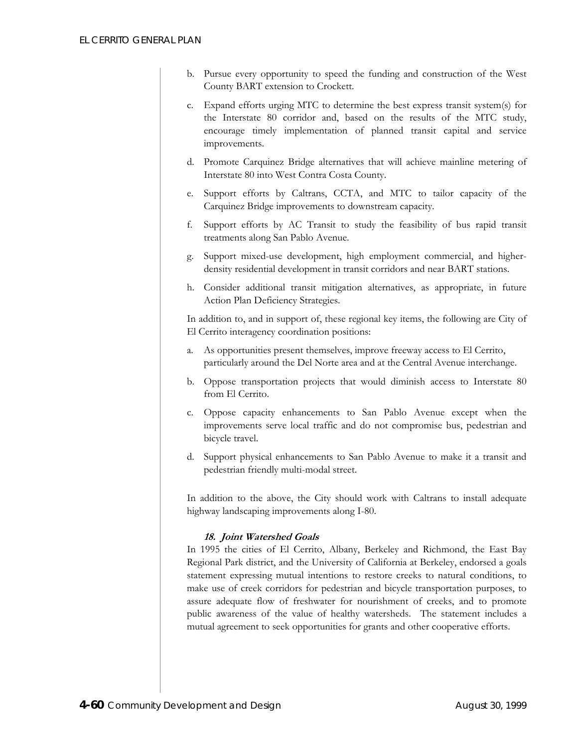- b. Pursue every opportunity to speed the funding and construction of the West County BART extension to Crockett.
- c. Expand efforts urging MTC to determine the best express transit system(s) for the Interstate 80 corridor and, based on the results of the MTC study, encourage timely implementation of planned transit capital and service improvements.
- d. Promote Carquinez Bridge alternatives that will achieve mainline metering of Interstate 80 into West Contra Costa County.
- e. Support efforts by Caltrans, CCTA, and MTC to tailor capacity of the Carquinez Bridge improvements to downstream capacity.
- f. Support efforts by AC Transit to study the feasibility of bus rapid transit treatments along San Pablo Avenue.
- g. Support mixed-use development, high employment commercial, and higherdensity residential development in transit corridors and near BART stations.
- h. Consider additional transit mitigation alternatives, as appropriate, in future Action Plan Deficiency Strategies.

In addition to, and in support of, these regional key items, the following are City of El Cerrito interagency coordination positions:

- a. As opportunities present themselves, improve freeway access to El Cerrito, particularly around the Del Norte area and at the Central Avenue interchange.
- b. Oppose transportation projects that would diminish access to Interstate 80 from El Cerrito.
- c. Oppose capacity enhancements to San Pablo Avenue except when the improvements serve local traffic and do not compromise bus, pedestrian and bicycle travel.
- d. Support physical enhancements to San Pablo Avenue to make it a transit and pedestrian friendly multi-modal street.

In addition to the above, the City should work with Caltrans to install adequate highway landscaping improvements along I-80.

### **18. Joint Watershed Goals**

In 1995 the cities of El Cerrito, Albany, Berkeley and Richmond, the East Bay Regional Park district, and the University of California at Berkeley, endorsed a goals statement expressing mutual intentions to restore creeks to natural conditions, to make use of creek corridors for pedestrian and bicycle transportation purposes, to assure adequate flow of freshwater for nourishment of creeks, and to promote public awareness of the value of healthy watersheds. The statement includes a mutual agreement to seek opportunities for grants and other cooperative efforts.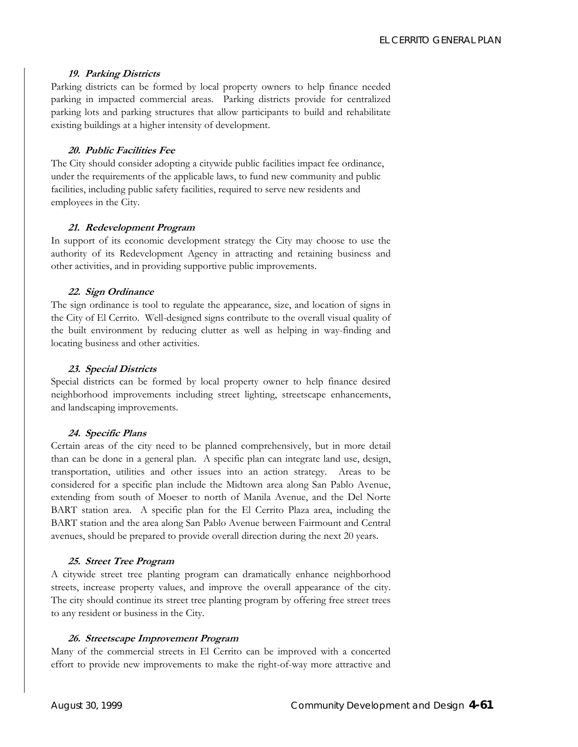#### **19. Parking Districts**

Parking districts can be formed by local property owners to help finance needed parking in impacted commercial areas. Parking districts provide for centralized parking lots and parking structures that allow participants to build and rehabilitate existing buildings at a higher intensity of development.

### **20. Public Facilities Fee**

The City should consider adopting a citywide public facilities impact fee ordinance, under the requirements of the applicable laws, to fund new community and public facilities, including public safety facilities, required to serve new residents and employees in the City.

### **21. Redevelopment Program**

In support of its economic development strategy the City may choose to use the authority of its Redevelopment Agency in attracting and retaining business and other activities, and in providing supportive public improvements.

### **22. Sign Ordinance**

The sign ordinance is tool to regulate the appearance, size, and location of signs in the City of El Cerrito. Well-designed signs contribute to the overall visual quality of the built environment by reducing clutter as well as helping in way-finding and locating business and other activities.

### **23. Special Districts**

Special districts can be formed by local property owner to help finance desired neighborhood improvements including street lighting, streetscape enhancements, and landscaping improvements.

### **24. Specific Plans**

Certain areas of the city need to be planned comprehensively, but in more detail than can be done in a general plan. A specific plan can integrate land use, design, transportation, utilities and other issues into an action strategy. Areas to be considered for a specific plan include the Midtown area along San Pablo Avenue, extending from south of Moeser to north of Manila Avenue, and the Del Norte BART station area. A specific plan for the El Cerrito Plaza area, including the BART station and the area along San Pablo Avenue between Fairmount and Central avenues, should be prepared to provide overall direction during the next 20 years.

#### **25. Street Tree Program**

A citywide street tree planting program can dramatically enhance neighborhood streets, increase property values, and improve the overall appearance of the city. The city should continue its street tree planting program by offering free street trees to any resident or business in the City.

### **26. Streetscape Improvement Program**

Many of the commercial streets in El Cerrito can be improved with a concerted effort to provide new improvements to make the right-of-way more attractive and